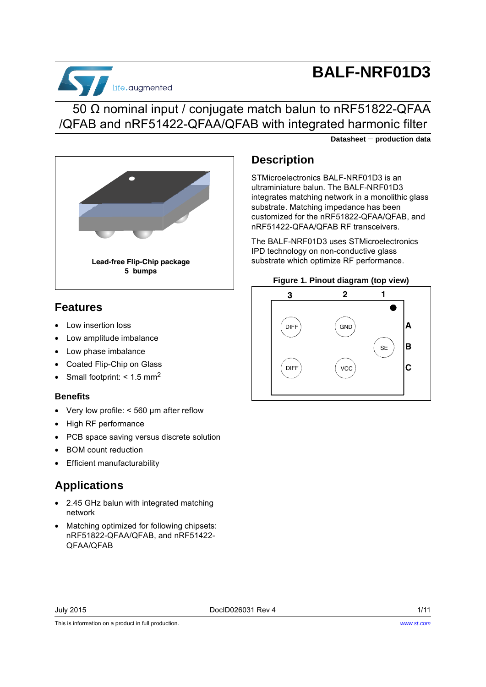

# **BALF-NRF01D3**

## 50 Ω nominal input / conjugate match balun to nRF51822-QFAA /QFAB and nRF51422-QFAA/QFAB with integrated harmonic filter

**Datasheet** − **production data**



## **Features**

- Low insertion loss
- Low amplitude imbalance
- Low phase imbalance
- Coated Flip-Chip on Glass
- Small footprint:  $<$  1.5 mm<sup>2</sup>

### **Benefits**

- Very low profile: < 560 µm after reflow
- High RF performance
- PCB space saving versus discrete solution
- BOM count reduction
- Efficient manufacturability

## **Applications**

- 2.45 GHz balun with integrated matching network
- Matching optimized for following chipsets: nRF51822-QFAA/QFAB, and nRF51422- QFAA/QFAB

## **Description**

STMicroelectronics BALF-NRF01D3 is an ultraminiature balun. The BALF-NRF01D3 integrates matching network in a monolithic glass substrate. Matching impedance has been customized for the nRF51822-QFAA/QFAB, and nRF51422-QFAA/QFAB RF transceivers.

The BALF-NRF01D3 uses STMicroelectronics IPD technology on non-conductive glass substrate which optimize RF performance.

#### **Figure 1. Pinout diagram (top view)**



This is information on a product in full production.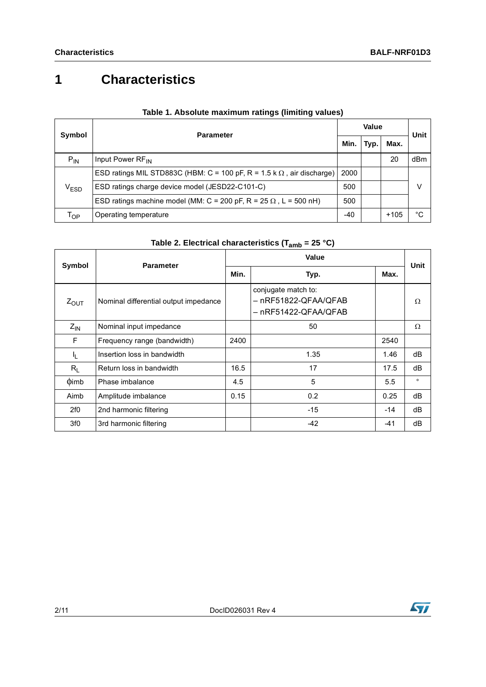# **1 Characteristics**

<span id="page-1-1"></span>

| Symbol        | <b>Parameter</b>                                                              |       | Value |        |      |
|---------------|-------------------------------------------------------------------------------|-------|-------|--------|------|
|               |                                                                               |       | Typ.  | Max.   | Unit |
| $P_{IN}$      | Input Power RF <sub>IN</sub>                                                  |       |       | 20     | dBm  |
|               | ESD ratings MIL STD883C (HBM: C = 100 pF, R = 1.5 k $\Omega$ , air discharge) | 2000  |       |        |      |
| $\rm V_{ESD}$ | ESD ratings charge device model (JESD22-C101-C)                               | 500   |       |        | V    |
|               | ESD ratings machine model (MM: C = 200 pF, R = 25 $\Omega$ , L = 500 nH)      | 500   |       |        |      |
| Тор           | Operating temperature                                                         | $-40$ |       | $+105$ | °C   |

### **Table 1. Absolute maximum ratings (limiting values)**

| Table 2. Electrical characteristics (T <sub>amb</sub> = 25 °C) |  |
|----------------------------------------------------------------|--|
|----------------------------------------------------------------|--|

<span id="page-1-0"></span>

| Symbol           | <b>Parameter</b>                      | Value |                                                                     |       | Unit     |
|------------------|---------------------------------------|-------|---------------------------------------------------------------------|-------|----------|
|                  |                                       | Min.  | Typ.                                                                | Max.  |          |
| $Z_{\text{OUT}}$ | Nominal differential output impedance |       | conjugate match to:<br>– nRF51822-QFAA/QFAB<br>– nRF51422-QFAA/QFAB |       | $\Omega$ |
| $Z_{IN}$         | Nominal input impedance               |       | 50                                                                  |       | Ω        |
| F                | Frequency range (bandwidth)           | 2400  |                                                                     | 2540  |          |
| Ч.               | Insertion loss in bandwidth           |       | 1.35                                                                | 1.46  | dB       |
| $R_L$            | Return loss in bandwidth              | 16.5  | 17                                                                  | 17.5  | dB       |
| $\phi$ imb       | Phase imbalance                       | 4.5   | 5                                                                   | 5.5   | $\circ$  |
| Aimb             | Amplitude imbalance                   | 0.15  | 0.2                                                                 | 0.25  | dB       |
| 2f0              | 2nd harmonic filtering                |       | $-15$                                                               | $-14$ | dB       |
| 3f0              | 3rd harmonic filtering                |       | $-42$                                                               | -41   | dB       |

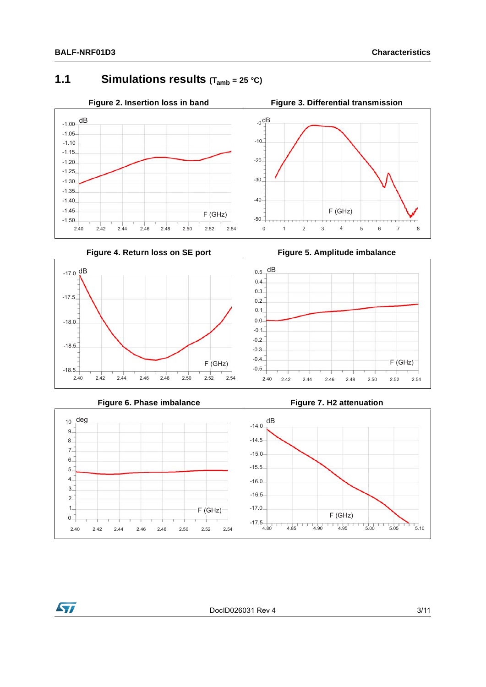$-17.0$  dB

-17.5

 $-18.0$ 

-18.5

-18.5

## **1.1 Simulations results (Tamb = 25 °C)**













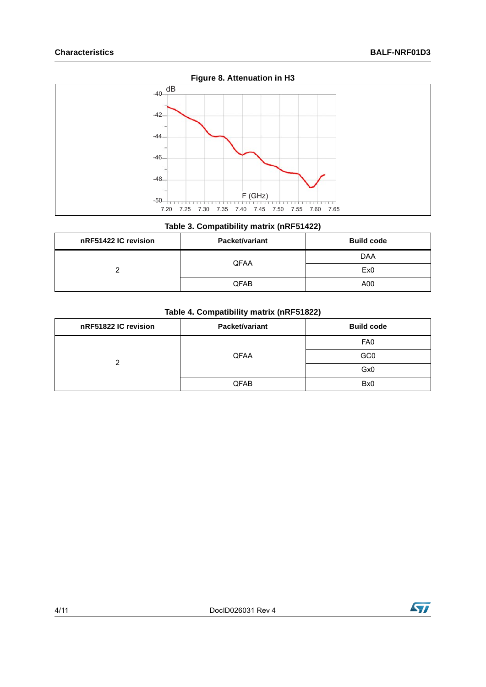

### **Table 3. Compatibility matrix (nRF51422)**

<span id="page-3-1"></span>

| nRF51422 IC revision | Packet/variant | <b>Build code</b> |
|----------------------|----------------|-------------------|
|                      | <b>QFAA</b>    | DAA               |
|                      |                | Ex <sub>0</sub>   |
|                      | QFAB           | A00               |

#### **Table 4. Compatibility matrix (nRF51822)**

<span id="page-3-0"></span>

| nRF51822 IC revision | <b>Packet/variant</b> | <b>Build code</b> |
|----------------------|-----------------------|-------------------|
|                      |                       | FA <sub>0</sub>   |
| ◠                    | <b>QFAA</b>           | GC <sub>0</sub>   |
|                      |                       | Gx <sub>0</sub>   |
|                      | QFAB                  | Bx <sub>0</sub>   |

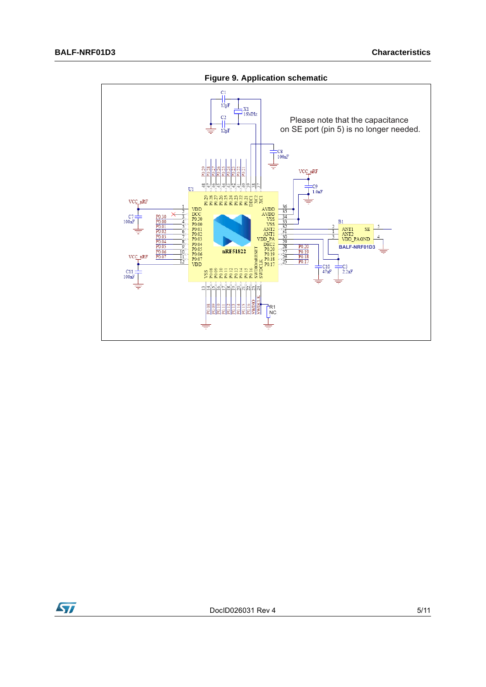

**Figure 9. Application schematic**

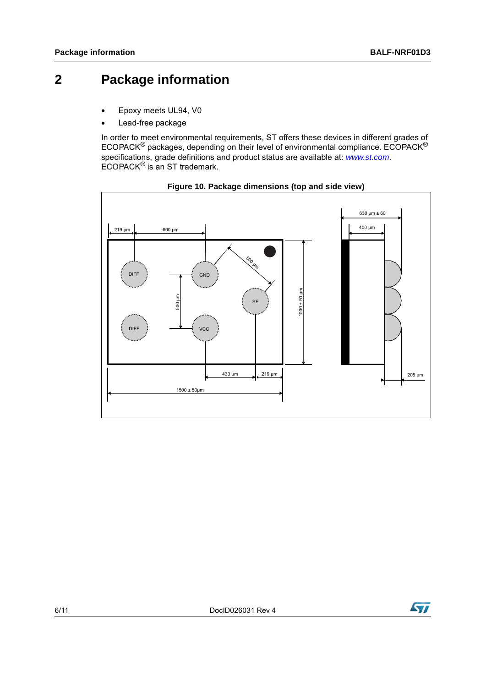## **2 Package information**

- Epoxy meets UL94, V0
- Lead-free package

In order to meet environmental requirements, ST offers these devices in different grades of ECOPACK® packages, depending on their level of environmental compliance. ECOPACK® specifications, grade definitions and product status are available at: *[www.st.com](http://www.st.com)*. ECOPACK® is an ST trademark.





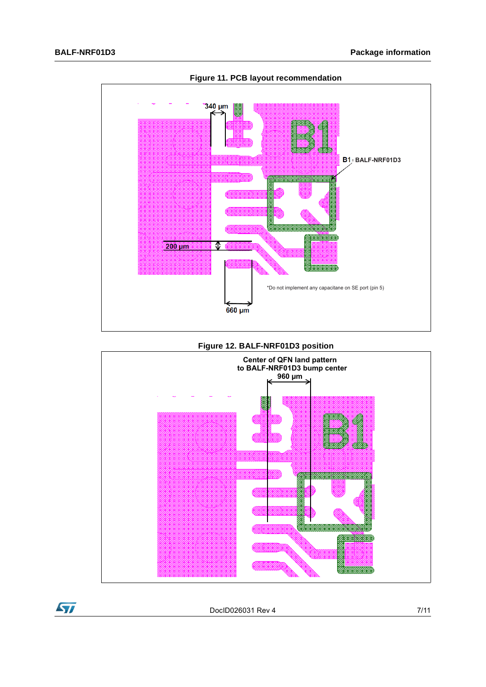

**Figure 11. PCB layout recommendation**







DocID026031 Rev 4 7/11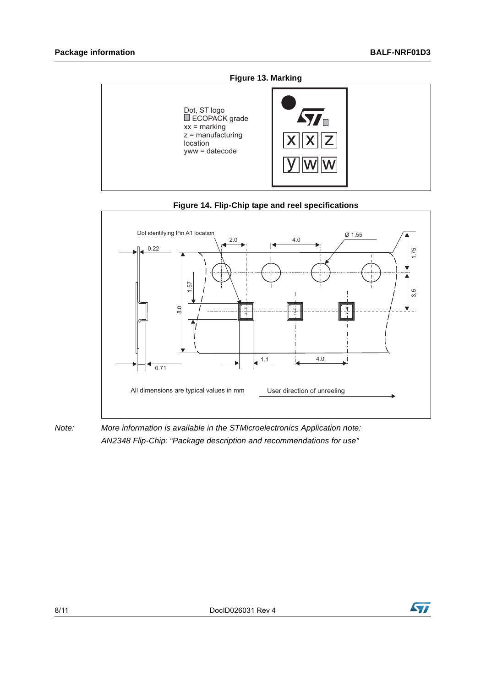



#### **Figure 14. Flip-Chip tape and reel specifications**

*Note: More information is available in the STMicroelectronics Application note: AN2348 Flip-Chip: "Package description and recommendations for use"*

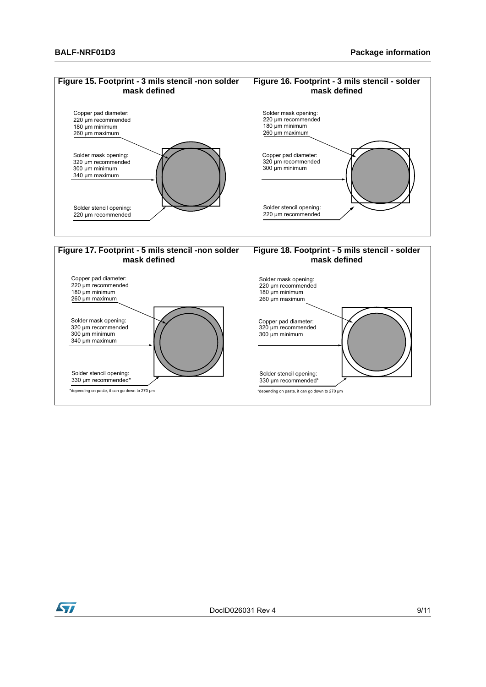

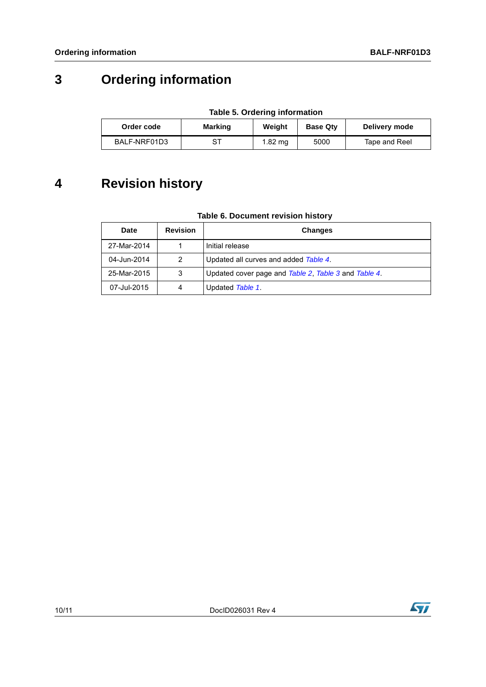# **3 Ordering information**

| <b>Table 5. Ordering information</b> |
|--------------------------------------|
|--------------------------------------|

| Order code   | <b>Marking</b> | Weiaht  | <b>Base Qtv</b> | Delivery mode |
|--------------|----------------|---------|-----------------|---------------|
| BALF-NRF01D3 | ST             | 1.82 mg | 5000            | Tape and Reel |

## **4 Revision history**

| Table 6. Document revision history |  |
|------------------------------------|--|
|                                    |  |

| Date        | <b>Revision</b> | <b>Changes</b>                                       |
|-------------|-----------------|------------------------------------------------------|
| 27-Mar-2014 |                 | Initial release                                      |
| 04-Jun-2014 | 2               | Updated all curves and added Table 4.                |
| 25-Mar-2015 | 3               | Updated cover page and Table 2, Table 3 and Table 4. |
| 07-Jul-2015 | 4               | Updated Table 1.                                     |